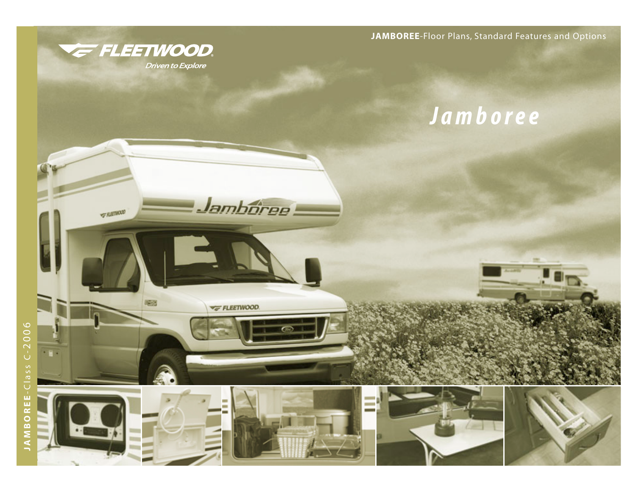

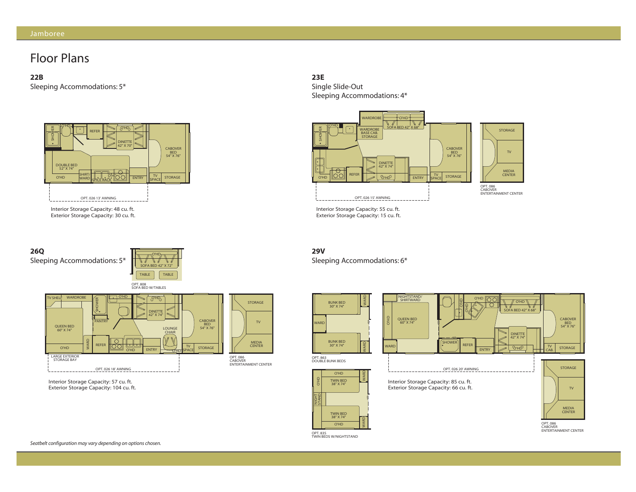# Floor Plans

**22B**

Sleeping Accommodations: 5\*



Interior Storage Capacity: 48 cu. ft. Interior Storage Capacity: 48 cu. ft. Exterior Storage Capacity: 30 cu. ft. Exterior Storage Capacity: 30 cu. ft.



Exterior Storage Capacity: 104 cu. ft. Exterior Storage Capacity: 104 cu. ft.



Single Slide-Out Sleeping Accommodations: 4\*



Interior Storage Capacity: 55 cu. ft. Interior Storage Capacity: 55 cu. ft. Exterior Storage Capacity: 15 cu. ft. Exterior Storage Capacity: 15 cu. ft.

**29V** Sleeping Accommodations: 6\*



OPT. 835 TWIN BEDS W/NIGHTSTAND

NIGHT STAND

O'HD

TV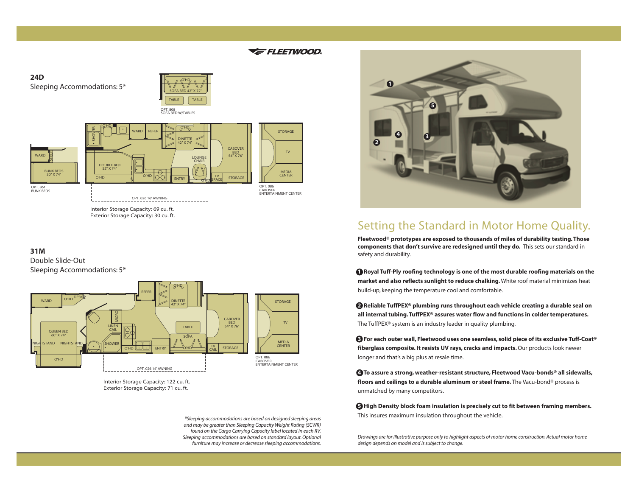#### $\frac{1}{\sqrt{2}}$ WARD DOUBLE BED 52" X 74" REFER CABOVER BED 54" X 76" DINETTE 42" X 74" SOFA BED 42" X 72" OPT. 808 SOFA BED W/TABLES TABLE | TABLE SHOWER O'HD  $\frac{1}{\sqrt{10}}$  and  $\frac{1}{\sqrt{10}}$  or  $\frac{1}{\sqrt{10}}$ Sleeping Accommodations: 5\*

ENTRY **COMMUNISPACE** STORAGE

TV SPACE



OPT. 086 CABOVER ENTERTAINMENT CENTER

Interior Storage Capacity: 69 cu. ft. Interior Storage Capacity: 69 cu. ft. Exterior Storage Capacity: 30 cu. ft. Exterior Storage Capacity: 30 cu. ft.

OPT. 026 16' AWNING

#### **31M**

OPT. 861 BUNK BEDS

**MARD** 

**24D**

BUNK BEDS 30" X 74"

Double Slide-Out Sleeping Accommodations: 5\*

O'HD O'HD



Interior Storage Capacity: 122 cu. ft. Exterior Storage Capacity: 71 cu. ft. Interior Storage Capacity: 122 cu. ft. Exterior Storage Capacity: 71 cu. ft.

*\*Sleeping accommodations are based on designed sleeping areas and may be greater than Sleeping Capacity Weight Rating (SCWR) found on the Cargo Carrying Capacity label located in each RV. Sleeping accommodations are based on standard layout. Optional furniture may increase or decrease sleeping accommodations.*



# Setting the Standard in Motor Home Quality.

**Fleetwood® prototypes are exposed to thousands of miles of durability testing. Those components that don't survive are redesigned until they do.** This sets our standard in safety and durability.

**<sup>1</sup> Royal Tuff-Ply roofing technology is one of the most durable roofing materials on the market and also reflects sunlight to reduce chalking.** White roof material minimizes heat build-up, keeping the temperature cool and comfortable.

**2 Reliable TuffPEX® plumbing runs throughout each vehicle creating a durable seal on all internal tubing. TuffPEX® assures water flow and functions in colder temperatures.** The TuffPEX® system is an industry leader in quality plumbing.

**3 For each outer wall, Fleetwood uses one seamless, solid piece of its exclusive Tuff-Coat® fiberglass composite. It resists UV rays, cracks and impacts.**Our products look newer longer and that's a big plus at resale time.

**4 To assure a strong, weather-resistant structure, Fleetwood Vacu-bonds® all sidewalls, floors and ceilings to a durable aluminum or steel frame.** The Vacu-bond® process is unmatched by many competitors.

**5 High Density block foam insulation is precisely cut to fit between framing members.** This insures maximum insulation throughout the vehicle.

*Drawings are for illustrative purpose only to highlight aspects of motor home construction. Actual motor home design depends on model and is subject to change.*

#### **E** FLEETWOOD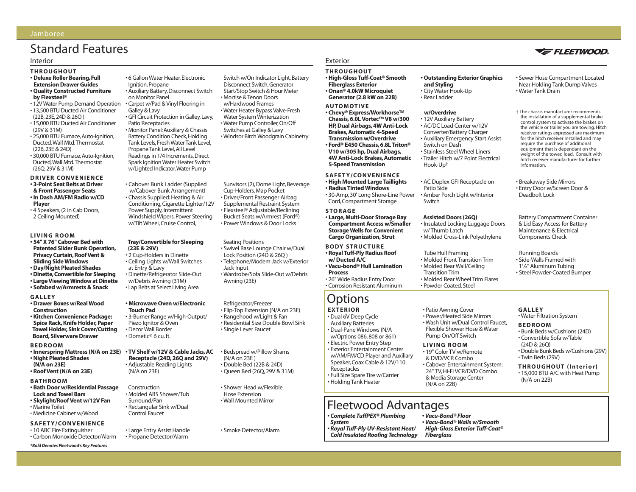#### Jamboree

# Standard Features

#### Interior

#### **THROUGHOUT • Deluxe Roller Bearing, Full**

- **Extension Drawer Guides • Quality Constructed Furniture**
- **by Flexsteel®** • 12V Water Pump, Demand Operation
- 13,500 BTU Ducted Air Conditioner
- (22B,23E,24D & 26Q )
- 15,000 BTU Ducted Air Conditioner (29V & 31M)
- 25,000 BTU Furnace,Auto-Ignition, Ducted,Wall Mtd.Thermostat (22B,23E & 24D)
- 30,000 BTU Furnace, Auto-Ignition, Ducted,Wall Mtd.Thermostat (26Q,29V & 31M)

#### **DRIVER CONVENIENCE • 3-Point Seat Belts at Driver & Front Passenger Seats**

- **In Dash AM/FM Radio w/CD Player**
- 4 Speakers, (2 in Cab Doors, 2 Ceiling Mounted)

#### **LIVING ROOM**

- **54" X 76" Cabover Bed with Patented Slider Bunk Operation, Privacy Curtain, Roof Vent & Sliding Side Windows**
- **Day/Night Pleated Shades • Dinette,Convertible for Sleeping**
- **Large Viewing Window at Dinette**
- **Sofabed w/Armrests & Snack**
- **GALLEY**
- **Drawer Boxes w/Real Wood Construction**
- **Kitchen Convenience Package: Spice Rack, Knife Holder, Paper Towel Holder, Sink Cover/Cutting Board, Silverware Drawer**

#### **BEDROOM**

- **Innerspring Mattress (N/A on 23E) • Night Pleated Shades**
- **(N/A on 23E) • Roof Vent (N/A on 23E)**
- 

#### **BATHROOM**

- **Bath Door w/Residential Passage Lock and Towel Bars • Skylight/Roof Vent w/12V Fan**
- Marine Toilet • Medicine Cabinet w/Wood

#### **SAFETY/CONVENIENCE**

- 10 ABC Fire Extinguisher
- Carbon Monoxide Detector/Alarm

*\*Bold Denotes Fleetwood's Key Features*

• 6 Gallon Water Heater,Electronic Ignition, Propane • Auxiliary Battery,Disconnect Switch on Monitor Panel • Carpet w/Pad & Vinyl Flooring in Galley & Lavy • GFI Circuit Protection in Galley,Lavy, Patio Receptacles • Monitor Panel:Auxiliary & Chassis Battery Condition Check,Holding Tank Levels, Fresh Water Tank Level, Propane Tank Level, All Level Readings in 1/4 Increments,Direct Spark Ignition Water Heater Switch w/Lighted Indicator,Water Pump

• Cabover Bunk Ladder (Supplied w/Cabover Bunk Arrangement) • Chassis Supplied: Heating & Air Conditioning, Cigarette Lighter/12V Power Supply, Intermittent Windshield Wipers, Power Steering w/Tilt Wheel, Cruise Control,

#### **Tray/Convertible for Sleeping (23E & 29V)**

• 2 Cup-Holders in Dinette • Ceiling Lights w/Wall Switches at Entry & Lavy • Dinette/Refrigerator Slide-Out w/Debris Awning (31M) • Lap Belts at Select Living Area

#### **• Microwave Oven w/Electronic Touch Pad**

• 3-Burner Range w/High-Output/ Piezo Ignitor & Oven • Decor Wall Border • Dometic® 6 cu. ft.

#### **• TV Shelf w/12V & Cable Jacks, AC Receptacle (24D, 26Q and 29V)** • Adjustable Reading Lights (N/A on 23E)

Construction • Molded ABS Shower/Tub Surround/Pan • Rectangular Sink w/Dual Control Faucet

• Large Entry Assist Handle

# • Propane Detector/Alarm

• Smoke Detector/Alarm

#### Exterior

Switch w/On Indicator Light, Battery Disconnect Switch,Generator Start/Stop Switch & Hour Meter • Mortise & Tenon Doors w/Hardwood Frames • Water Heater Bypass Valve-Fresh Water System Winterization • Water Pump Controller,On/Off Switches at Galley & Lavy • Windsor Birch Woodgrain Cabinetry

Sunvisors (2), Dome Light, Beverage Cup-Holders, Map Pocket • Driver/Front Passenger Airbag Supplemental Restraint System • Flexsteel® Adjustable/Reclining Bucket Seats w/Armrest (Ford®) • Power Windows & Door Locks

• Swivel Base Lounge Chair w/Dual Lock Position (24D & 26Q ) • Telephone/Modem Jack w/Exterior

• Wardrobe/Sofa Slide-Out w/Debris

Seating Positions

Jack Input

Awning (23E)

Refrigerator/Freezer • Flip-Top Extension (N/A on 23E) • Rangehood w/Light & Fan • Residential Size Double Bowl Sink

• Single Lever Faucet

(N/A on 23E ) • Double Bed (22B & 24D) • Queen Bed (26Q, 29V & 31M)

• Bedspread w/Pillow Shams

• Shower Head w/Flexible Hose Extension • Wall Mounted Mirror

#### **THROUGHOUT**

**• High-Gloss Tuff-Coat® Smooth Fiberglass Exterior • Onan® 4.0kW Microquiet Generator (2.8 kW on 22B)**

#### **AUTOMOTIVE**

**• Chevy® Express/Workhorse™ Chassis, 6.0L Vortec™ V8 w/300 HP, Dual Airbags, 4W Anti-Lock Brakes, Automatic 4-Speed Transmission w/Overdrive • Ford® E450 Chassis, 6.8L Triton® V10 w/305 hp, Dual Airbags, 4W Anti-Lock Brakes, Automatic 5-Speed Transmission** 

#### **SAFETY/CONVENIENCE • High Mounted Large Taillights**

**• Radius Tinted Windows** • 30-Amp, 30' Long Shore-Line Power

**• Large, Multi-Door Storage Bay Storage Wells for Convenient Cargo Organization, Strut** 

#### **BODY STRUCTURE • Royal Tuff-Ply Radius Roof w/ Ducted A/C**

**• Vacu-bond® Hull Lamination Process**

#### • 26" Wide Radius Entry Door • Corrosion Resistant Aluminum

# **Options**

#### **EXTERIOR**

• Dual 6V Deep Cycle Auxiliary Batteries • Dual-Pane Windows (N/A w/Options 086, 808 or 861) • Electric Power Entry Step • Exterior Entertainment Center w/AM/FM/CD Player and Auxiliary Speaker, Coax Cable & 12V/110 **Receptacles** • Full Size Spare Tire w/Carrier • Holding Tank Heater

# Fleetwood Advantages

- *Complete TuffPEX® Plumbing System*
- *Royal Tuff-Ply UV-Resistant Heat/ Cold Insulated Roofing Technology*

# **• Outstanding Exterior Graphics**

**and Styling** • City Water Hook-Up • Rear Ladder

#### **w/Overdrive**

- 12V Auxiliary Battery • AC/DC Load Center w/12V Converter/Battery Charger • Auxiliary Emergency Start Assist
- Switch on Dash • Stainless Steel Wheel Liners

• Trailer Hitch w/7 Point Electrical Hook-Up†

#### • AC Duplex GFI Receptacle on

Patio Side • Amber Porch Light w/Interior Switch

#### **Assisted Doors (26Q)**

• Insulated Locking Luggage Doors w/ Thumb Latch • Molded Cross-Link Polyethylene

#### Tube Hull Framing

- Molded Front Transition Trim • Molded Rear Wall/Ceiling
- Transition Trim
- Molded Rear Wheel Trim Flares
- Powder Coated, Steel
- Patio Awning Cover • Power/Heated Side Mirrors • Wash Unit w/Dual Control Faucet, Flexible Shower Hose & Water Pump On/Off Switch

#### **LIVING ROOM**

• 19" Color TV w/Remote & DVD/VCR Combo • Cabover Entertainment System: 24" TV, Hi-Fi VCR/DVD Combo & Media Storage Center (N/A on 22B)

#### • Breakaway Side Mirrors • Entry Door w/Screen Door & Deadbolt Lock

Battery Compartment Container & Lid Easy Access for Battery Maintenance & Electrical Components Check

Running Boards • Side-Walls Framed with 1**1 ⁄2**" Aluminum Tubing • Steel Powder-Coated Bumper

#### **GALLEY** • Water Filtration System

#### **BEDROOM**

- Bunk Beds w/Cushions (24D) • Convertible Sofa w/Table (24D & 26Q)
- Double Bunk Beds w/Cushions (29V) • Twin Beds (29V)
- **THROUGHOUT (Interior)** • 15,000 BTU A/C with Heat Pump (N/A on 22B)

#### *• Vacu-Bond® Floor • Vacu-Bond® Walls w/Smooth High-Gloss Exterior Tuff-Coat®*

*Fiberglass*





• Sewer Hose Compartment Located Near Holding Tank Dump Valves

† The chassis manufacturer recommends the installation of a supplemental brake control system to activate the brakes on the vehicle or trailer you are towing. Hitch receiver ratings expressed are maximum for the hitch receiver installed and may require the purchase of additional equipment that is dependant on the weight of the towed load. Consult with hitch receiver manufacturer for further

• Water Tank Drain

information.

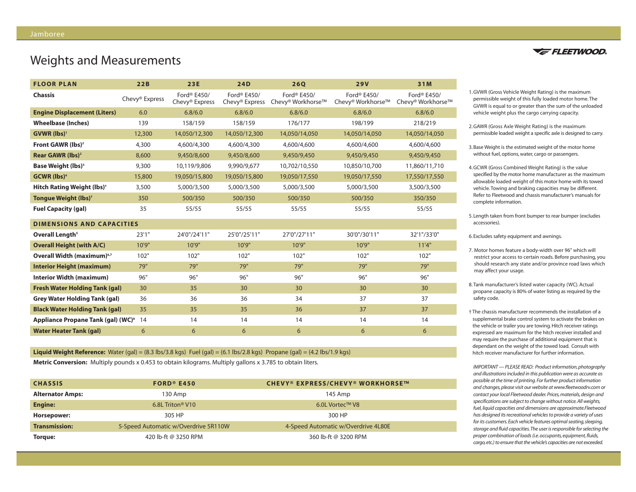# Weights and Measurements

| <b>FLOOR PLAN</b>                              | 22B            | 23E                                       | <b>24D</b>                                            | <b>26Q</b>                                   | <b>29V</b>                       | 31M                                          |
|------------------------------------------------|----------------|-------------------------------------------|-------------------------------------------------------|----------------------------------------------|----------------------------------|----------------------------------------------|
| <b>Chassis</b>                                 | Chevy® Express | Ford® E450/<br>Chevy <sup>®</sup> Express | Ford <sup>®</sup> E450/<br>Chevy <sup>®</sup> Express | Ford <sup>®</sup> E450/<br>Chevy® Workhorse™ | Ford® E450/<br>Chevy® Workhorse™ | Ford <sup>®</sup> E450/<br>Chevy® Workhorse™ |
| <b>Engine Displacement (Liters)</b>            | 6.0            | 6.8/6.0                                   | 6.8/6.0                                               | 6.8/6.0                                      | 6.8/6.0                          | 6.8/6.0                                      |
| <b>Wheelbase (Inches)</b>                      | 139            | 158/159                                   | 158/159                                               | 176/177                                      | 198/199                          | 218/219                                      |
| GVWR (lbs) <sup>1</sup>                        | 12,300         | 14,050/12,300                             | 14,050/12,300                                         | 14,050/14,050                                | 14,050/14,050                    | 14,050/14,050                                |
| Front GAWR (lbs) <sup>2</sup>                  | 4,300          | 4,600/4,300                               | 4,600/4,300                                           | 4,600/4,600                                  | 4,600/4,600                      | 4,600/4,600                                  |
| Rear GAWR (lbs) <sup>2</sup>                   | 8,600          | 9,450/8,600                               | 9,450/8,600                                           | 9,450/9,450                                  | 9,450/9,450                      | 9,450/9,450                                  |
| <b>Base Weight (lbs)</b> <sup>3</sup>          | 9,300          | 10,119/9,806                              | 9,990/9,677                                           | 10,702/10,550                                | 10,850/10,700                    | 11,860/11,710                                |
| <b>GCWR</b> (lbs) <sup>4</sup>                 | 15,800         | 19,050/15,800                             | 19,050/15,800                                         | 19,050/17,550                                | 19,050/17,550                    | 17,550/17,550                                |
| <b>Hitch Rating Weight (lbs)<sup>†</sup></b>   | 3,500          | 5,000/3,500                               | 5,000/3,500                                           | 5,000/3,500                                  | 5,000/3,500                      | 3,500/3,500                                  |
| Tongue Weight (lbs) <sup>+</sup>               | 350            | 500/350                                   | 500/350                                               | 500/350                                      | 500/350                          | 350/350                                      |
| <b>Fuel Capacity (gal)</b>                     | 35             | 55/55                                     | 55/55                                                 | 55/55                                        | 55/55                            | 55/55                                        |
| <b>DIMENSIONS AND CAPACITIES</b>               |                |                                           |                                                       |                                              |                                  |                                              |
| Overall Length <sup>5</sup>                    | 23'1''         | 24'0"/24'11"                              | 25'0"/25'11"                                          | 27'0"/27'11"                                 | 30'0"/30'11"                     | 32'1"/33'0"                                  |
| <b>Overall Height (with A/C)</b>               | 10'9"          | 10'9"                                     | 10'9"                                                 | 10'9"                                        | 10'9"                            | 11'4"                                        |
| Overall Width (maximum) <sup>6,7</sup>         | 102"           | 102"                                      | 102"                                                  | 102"                                         | 102"                             | 102"                                         |
| <b>Interior Height (maximum)</b>               | 79"            | 79"                                       | 79"                                                   | 79"                                          | 79"                              | 79"                                          |
| <b>Interior Width (maximum)</b>                | 96"            | 96"                                       | 96"                                                   | 96"                                          | 96"                              | 96"                                          |
| <b>Fresh Water Holding Tank (gal)</b>          | 30             | 35                                        | 30                                                    | 30                                           | 30                               | 30                                           |
| <b>Grey Water Holding Tank (gal)</b>           | 36             | 36                                        | 36                                                    | 34                                           | 37                               | 37                                           |
| <b>Black Water Holding Tank (gal)</b>          | 35             | 35                                        | 35                                                    | 36                                           | 37                               | 37                                           |
| Appliance Propane Tank (gal) (WC) <sup>8</sup> | 14             | 14                                        | 14                                                    | 14                                           | 14                               | 14                                           |
| <b>Water Heater Tank (gal)</b>                 | 6              | 6                                         | 6                                                     | 6                                            | 6                                | 6                                            |

**Liquid Weight Reference:** Water (gal) =  $(8.3 \text{ lbs}/3.8 \text{ kg})$  Fuel (gal) =  $(6.1 \text{ lbs}/2.8 \text{ kg})$  Propane (gal) =  $(4.2 \text{ lbs}/1.9 \text{ kg})$ **Metric Conversion:** Multiply pounds x 0.453 to obtain kilograms. Multiply gallons x 3.785 to obtain liters.

| <b>CHASSIS</b>          | $FORD^{\circ}E450$                   | <b>CHEVY® EXPRESS/CHEVY® WORKHORSE™</b> |
|-------------------------|--------------------------------------|-----------------------------------------|
| <b>Alternator Amps:</b> | 130 Amp                              | 145 Amp                                 |
| <b>Engine:</b>          | 6.8L Triton <sup>®</sup> V10         | 6.0L Vortec™ V8                         |
| Horsepower:             | 305 HP                               | 300 HP                                  |
| <b>Transmission:</b>    | 5-Speed Automatic w/Overdrive 5R110W | 4-Speed Automatic w/Overdrive 4L80E     |
| Torque:                 | 420 lb-ft @ 3250 RPM                 | 360 lb-ft @ 3200 RPM                    |



1.GVWR (Gross Vehicle Weight Rating) is the maximum permissible weight of this fully loaded motor home. The GVWR is equal to or greater than the sum of the unloaded vehicle weight plus the cargo carrying capacity.

- 2.GAWR (Gross Axle Weight Rating) is the maximum permissible loaded weight a specific axle is designed to carry.
- 3. Base Weight is the estimated weight of the motor home without fuel, options, water, cargo or passengers.
- 4.GCWR (Gross Combined Weight Rating) is the value specified by the motor home manufacturer as the maximum allowable loaded weight of this motor home with its towed vehicle. Towing and braking capacities may be different. Refer to Fleetwood and chassis manufacturer's manuals for complete information.
- 5. Length taken from front bumper to rear bumper (excludes accessories).
- 6. Excludes safety equipment and awnings.
- 7. Motor homes feature a body-width over 96" which will restrict your access to certain roads. Before purchasing, you should research any state and/or province road laws which may affect your usage.
- 8.Tank manufacturer's listed water capacity (WC). Actual propane capacity is 80% of water listing as required by the safety code.
- † The chassis manufacturer recommends the installation of a supplemental brake control system to activate the brakes on the vehicle or trailer you are towing. Hitch receiver ratings expressed are maximum for the hitch receiver installed and may require the purchase of additional equipment that is dependant on the weight of the towed load. Consult with hitch receiver manufacturer for further information.

*IMPORTANT — PLEASE READ: Product information, photography and illustrations included in this publication were as accurate as possible at the time of printing. For further product information and changes, please visit our website at www.fleetwoodrv.com or contact your local Fleetwood dealer. Prices, materials, design and specifications are subject to change without notice. All weights, fuel, liquid capacities and dimensions are approximate.Fleetwood has designed its recreational vehicles to provide a variety of uses for its customers. Each vehicle features optimal seating, sleeping, storage and fluid capacities.The user is responsible for selecting the proper combination of loads (i.e. occupants, equipment, fluids, cargo,etc.) to ensure that the vehicle's capacities are not exceeded.*